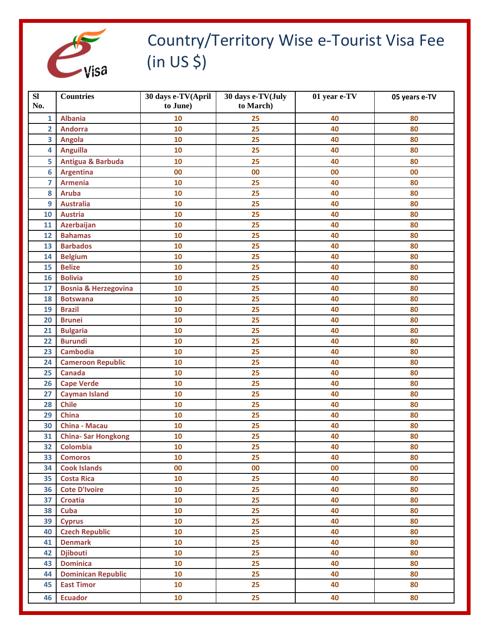

## Country/Territory Wise e-Tourist Visa Fee (in US \$)

| SI<br>No.      | <b>Countries</b>                | 30 days e-TV(April<br>to June) | 30 days e-TV(July<br>to March) | 01 year e-TV | 05 years e-TV |
|----------------|---------------------------------|--------------------------------|--------------------------------|--------------|---------------|
|                |                                 |                                |                                |              |               |
| $\mathbf{1}$   | <b>Albania</b>                  | 10                             | 25                             | 40           | 80            |
| $\overline{2}$ | <b>Andorra</b>                  | 10                             | 25                             | 40           | 80            |
| 3              | Angola                          | 10                             | 25                             | 40           | 80            |
| 4              | <b>Anguilla</b>                 | 10                             | 25                             | 40           | 80            |
| 5              | <b>Antigua &amp; Barbuda</b>    | 10                             | 25                             | 40           | 80            |
| 6              | <b>Argentina</b>                | 00                             | 00                             | 00           | 00            |
| $\overline{z}$ | <b>Armenia</b>                  | 10                             | 25                             | 40           | 80            |
| 8              | <b>Aruba</b>                    | 10                             | 25                             | 40           | 80            |
| 9              | <b>Australia</b>                | 10                             | 25                             | 40           | 80            |
| 10             | <b>Austria</b>                  | 10                             | 25                             | 40           | 80            |
| 11             | Azerbaijan                      | 10                             | 25                             | 40           | 80            |
| 12             | <b>Bahamas</b>                  | 10                             | 25                             | 40           | 80            |
| 13             | <b>Barbados</b>                 | 10                             | 25                             | 40           | 80            |
| 14             | <b>Belgium</b>                  | 10                             | 25                             | 40           | 80            |
| 15             | <b>Belize</b>                   | 10                             | 25                             | 40           | 80            |
| 16             | <b>Bolivia</b>                  | 10                             | 25                             | 40           | 80            |
| 17             | <b>Bosnia &amp; Herzegovina</b> | 10                             | 25                             | 40           | 80            |
| 18             | <b>Botswana</b>                 | 10                             | 25                             | 40           | 80            |
| 19             | <b>Brazil</b>                   | 10                             | 25                             | 40           | 80            |
| 20             | <b>Brunei</b>                   | 10                             | 25                             | 40           | 80            |
| 21             | <b>Bulgaria</b>                 | 10                             | 25                             | 40           | 80            |
| 22             | <b>Burundi</b>                  | 10                             | 25                             | 40           | 80            |
| 23             | <b>Cambodia</b>                 | 10                             | 25                             | 40           | 80            |
| 24             | <b>Cameroon Republic</b>        | 10                             | 25                             | 40           | 80            |
| 25             | <b>Canada</b>                   | 10                             | 25                             | 40           | 80            |
| 26             | <b>Cape Verde</b>               | 10                             | 25                             | 40           | 80            |
| 27             | <b>Cayman Island</b>            | 10                             | 25                             | 40           | 80            |
| 28             | <b>Chile</b>                    | 10                             | 25                             | 40           | 80            |
| 29             | <b>China</b>                    | 10                             | 25                             | 40           | 80            |
| 30             | <b>China - Macau</b>            | 10                             | 25                             | 40           | 80            |
| 31             | <b>China-Sar Hongkong</b>       | 10                             | 25                             | 40           | 80            |
| 32             | <b>Colombia</b>                 | 10                             | 25                             | 40           | 80            |
| 33             | <b>Comoros</b>                  | 10                             | 25                             | 40           | 80            |
| 34             | <b>Cook Islands</b>             | 00                             | 00                             | 00           | 00            |
| 35             | <b>Costa Rica</b>               | 10                             | 25                             | 40           | 80            |
| 36             | <b>Cote D'Ivoire</b>            | 10                             | 25                             | 40           | 80            |
| 37             | <b>Croatia</b>                  | 10                             | 25                             | 40           | 80            |
| 38             | Cuba                            | 10                             | 25                             | 40           | 80            |
| 39             | <b>Cyprus</b>                   | 10                             | 25                             | 40           | 80            |
| 40             | <b>Czech Republic</b>           | 10                             | 25                             | 40           | 80            |
| 41             | <b>Denmark</b>                  | 10                             | 25                             | 40           | 80            |
| 42             | <b>Djibouti</b>                 | 10                             | 25                             | 40           | 80            |
| 43             | <b>Dominica</b>                 | 10                             | 25                             | 40           | 80            |
| 44             | <b>Dominican Republic</b>       | 10                             | 25                             | 40           | 80            |
| 45             | <b>East Timor</b>               | 10                             | 25                             | 40           | 80            |
| 46             | <b>Ecuador</b>                  | 10                             | 25                             | 40           | 80            |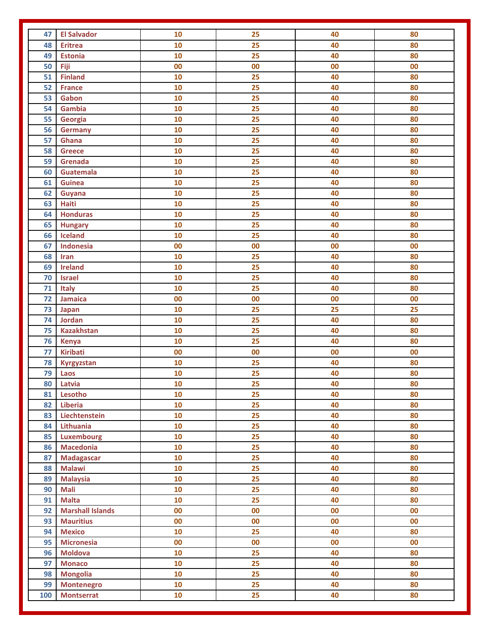| 47  | <b>El Salvador</b>      | 10 | 25              | 40 | 80 |
|-----|-------------------------|----|-----------------|----|----|
| 48  | <b>Eritrea</b>          | 10 | 25              | 40 | 80 |
| 49  | <b>Estonia</b>          | 10 | 25              | 40 | 80 |
| 50  | Fiji                    | 00 | 00              | 00 | 00 |
| 51  | <b>Finland</b>          | 10 | 25              | 40 | 80 |
| 52  | <b>France</b>           | 10 | 25              | 40 | 80 |
| 53  | Gabon                   | 10 | 25              | 40 | 80 |
| 54  | Gambia                  | 10 | 25              | 40 | 80 |
| 55  | Georgia                 | 10 | 25              | 40 | 80 |
| 56  | <b>Germany</b>          | 10 | 25              | 40 | 80 |
| 57  | Ghana                   | 10 | 25              | 40 | 80 |
| 58  | <b>Greece</b>           | 10 | 25              | 40 | 80 |
| 59  | Grenada                 | 10 | 25              | 40 | 80 |
| 60  | Guatemala               | 10 | 25              | 40 | 80 |
| 61  | <b>Guinea</b>           | 10 | 25              | 40 | 80 |
| 62  | Guyana                  | 10 | 25              | 40 | 80 |
| 63  | <b>Haiti</b>            | 10 | 25              | 40 | 80 |
| 64  | <b>Honduras</b>         | 10 | 25              | 40 | 80 |
| 65  | <b>Hungary</b>          | 10 | 25              | 40 | 80 |
| 66  | Iceland                 | 10 | 25              | 40 | 80 |
| 67  | Indonesia               | 00 | 00              | 00 | 00 |
| 68  | Iran                    | 10 | 25              | 40 | 80 |
| 69  | <b>Ireland</b>          | 10 | 25              | 40 | 80 |
| 70  | <b>Israel</b>           | 10 | 25              | 40 | 80 |
| 71  | <b>Italy</b>            | 10 | $\overline{25}$ | 40 | 80 |
| 72  | <b>Jamaica</b>          | 00 | $\bf{00}$       | 00 | 00 |
| 73  | <b>Japan</b>            | 10 | 25              | 25 | 25 |
| 74  | Jordan                  | 10 | 25              | 40 | 80 |
| 75  | <b>Kazakhstan</b>       | 10 | 25              | 40 | 80 |
| 76  | <b>Kenya</b>            | 10 | 25              | 40 | 80 |
| 77  | <b>Kiribati</b>         | 00 | 00              | 00 | 00 |
| 78  | Kyrgyzstan              | 10 | 25              | 40 | 80 |
| 79  | Laos                    | 10 | 25              | 40 | 80 |
|     | 80 Latvia               | 10 | 25              | 40 | 80 |
| 81  | Lesotho                 | 10 | 25              | 40 | 80 |
| 82  | Liberia                 | 10 | 25              | 40 | 80 |
| 83  | Liechtenstein           | 10 | 25              | 40 | 80 |
| 84  | Lithuania               | 10 | 25              | 40 | 80 |
| 85  | <b>Luxembourg</b>       | 10 | 25              | 40 | 80 |
| 86  | <b>Macedonia</b>        | 10 | $\overline{25}$ | 40 | 80 |
| 87  | <b>Madagascar</b>       | 10 | 25              | 40 | 80 |
| 88  | <b>Malawi</b>           | 10 | 25              | 40 | 80 |
| 89  | <b>Malaysia</b>         | 10 | 25              | 40 | 80 |
| 90  | <b>Mali</b>             | 10 | 25              | 40 | 80 |
| 91  | <b>Malta</b>            | 10 | 25              | 40 | 80 |
| 92  | <b>Marshall Islands</b> | 00 | 00              | 00 | 00 |
| 93  | <b>Mauritius</b>        | 00 | 00              | 00 | 00 |
| 94  | <b>Mexico</b>           | 10 | 25              | 40 | 80 |
|     |                         | 00 |                 |    | 00 |
| 95  | <b>Micronesia</b>       |    | 00              | 00 |    |
| 96  | <b>Moldova</b>          | 10 | 25              | 40 | 80 |
| 97  | <b>Monaco</b>           | 10 | 25              | 40 | 80 |
| 98  | <b>Mongolia</b>         | 10 | 25              | 40 | 80 |
| 99  | <b>Montenegro</b>       | 10 | 25              | 40 | 80 |
| 100 | <b>Montserrat</b>       | 10 | 25              | 40 | 80 |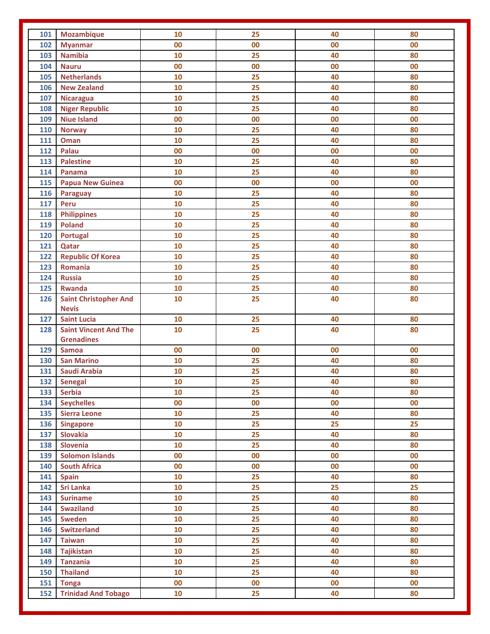| 101 | <b>Mozambique</b>                                 | 10 | 25        | 40 | 80 |
|-----|---------------------------------------------------|----|-----------|----|----|
| 102 | <b>Myanmar</b>                                    | 00 | 00        | 00 | 00 |
| 103 | <b>Namibia</b>                                    | 10 | 25        | 40 | 80 |
| 104 | <b>Nauru</b>                                      | 00 | 00        | 00 | 00 |
| 105 | <b>Netherlands</b>                                | 10 | 25        | 40 | 80 |
| 106 | <b>New Zealand</b>                                | 10 | 25        | 40 | 80 |
| 107 | <b>Nicaragua</b>                                  | 10 | 25        | 40 | 80 |
| 108 | <b>Niger Republic</b>                             | 10 | 25        | 40 | 80 |
| 109 | <b>Niue Island</b>                                | 00 | 00        | 00 | 00 |
| 110 | <b>Norway</b>                                     | 10 | 25        | 40 | 80 |
| 111 | <b>Oman</b>                                       | 10 | 25        | 40 | 80 |
| 112 | Palau                                             | 00 | 00        | 00 | 00 |
| 113 | <b>Palestine</b>                                  | 10 | 25        | 40 | 80 |
| 114 | Panama                                            | 10 | 25        | 40 | 80 |
| 115 | <b>Papua New Guinea</b>                           | 00 | $\bf{00}$ | 00 | 00 |
| 116 | Paraguay                                          | 10 | 25        | 40 | 80 |
| 117 | Peru                                              | 10 | 25        | 40 | 80 |
| 118 | <b>Philippines</b>                                | 10 | 25        | 40 | 80 |
| 119 | <b>Poland</b>                                     | 10 | 25        | 40 | 80 |
| 120 | Portugal                                          | 10 | 25        | 40 | 80 |
| 121 | Qatar                                             | 10 | 25        | 40 | 80 |
| 122 | <b>Republic Of Korea</b>                          | 10 | 25        | 40 | 80 |
| 123 | Romania                                           | 10 | 25        | 40 | 80 |
| 124 | <b>Russia</b>                                     | 10 | 25        | 40 | 80 |
| 125 | <b>Rwanda</b>                                     | 10 | 25        | 40 | 80 |
| 126 | <b>Saint Christopher And</b>                      | 10 | 25        | 40 | 80 |
|     | <b>Nevis</b>                                      |    |           |    |    |
| 127 | <b>Saint Lucia</b>                                | 10 | 25        | 40 | 80 |
| 128 | <b>Saint Vincent And The</b><br><b>Grenadines</b> | 10 | 25        | 40 | 80 |
| 129 | <b>Samoa</b>                                      | 00 | 00        | 00 | 00 |
| 130 | <b>San Marino</b>                                 | 10 | 25        | 40 | 80 |
| 131 | <b>Saudi Arabia</b>                               | 10 | 25        | 40 | 80 |
| 132 | <b>Senegal</b>                                    | 10 | 25        | 40 | 80 |
| 133 | <b>Serbia</b>                                     | 10 | 25        | 40 | 80 |
| 134 | <b>Seychelles</b>                                 | 00 | 00        | 00 | 00 |
| 135 | <b>Sierra Leone</b>                               | 10 | 25        | 40 | 80 |
| 136 | <b>Singapore</b>                                  | 10 | 25        | 25 | 25 |
| 137 | <b>Slovakia</b>                                   | 10 | 25        | 40 | 80 |
| 138 | Slovenia                                          | 10 | 25        | 40 | 80 |
| 139 | <b>Solomon Islands</b>                            | 00 | 00        | 00 | 00 |
| 140 | <b>South Africa</b>                               | 00 | 00        | 00 | 00 |
| 141 | <b>Spain</b>                                      | 10 | 25        | 40 | 80 |
| 142 | <b>Sri Lanka</b>                                  | 10 | 25        | 25 | 25 |
| 143 | <b>Suriname</b>                                   | 10 | 25        | 40 | 80 |
| 144 | <b>Swaziland</b>                                  | 10 | 25        | 40 | 80 |
| 145 | <b>Sweden</b>                                     | 10 | 25        | 40 | 80 |
| 146 | <b>Switzerland</b>                                | 10 | 25        | 40 | 80 |
| 147 | <b>Taiwan</b>                                     | 10 | 25        | 40 | 80 |
| 148 | <b>Tajikistan</b>                                 | 10 | 25        | 40 | 80 |
| 149 | <b>Tanzania</b>                                   | 10 | 25        | 40 | 80 |
| 150 | <b>Thailand</b>                                   | 10 | 25        | 40 | 80 |
| 151 | <b>Tonga</b>                                      | 00 | 00        | 00 | 00 |
| 152 | <b>Trinidad And Tobago</b>                        | 10 | 25        | 40 | 80 |
|     |                                                   |    |           |    |    |